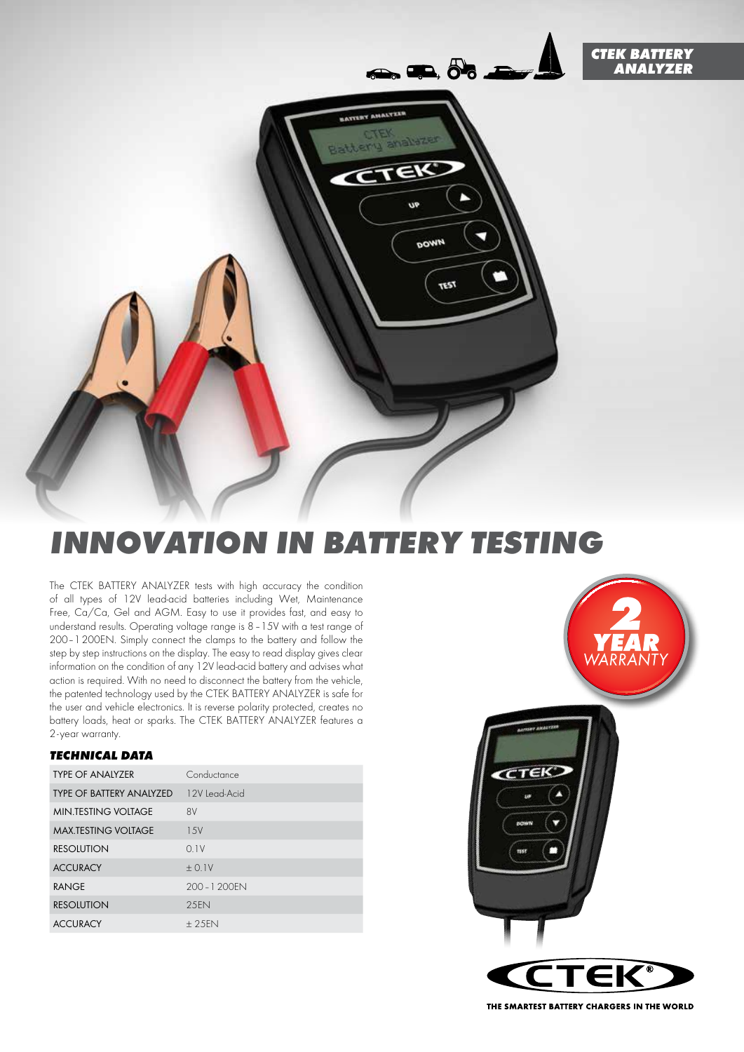



# *INNOVATION IN BATTERY TESTING*

The CTEK BATTERY ANALYZER tests with high accuracy the condition of all types of 12V lead-acid batteries including Wet, Maintenance Free, Ca/Ca, Gel and AGM. Easy to use it provides fast, and easy to understand results. Operating voltage range is 8–15V with a test range of 200–1200EN. Simply connect the clamps to the battery and follow the step by step instructions on the display. The easy to read display gives clear information on the condition of any 12V lead-acid battery and advises what action is required. With no need to disconnect the battery from the vehicle, the patented technology used by the CTEK BATTERY ANALYZER is safe for the user and vehicle electronics. It is reverse polarity protected, creates no battery loads, heat or sparks. The CTEK BATTERY ANALYZER features a 2-year warranty.

## *TECHNICAL DATA*

| <b>TYPE OF ANALYZER</b>         | Conductance   |
|---------------------------------|---------------|
| <b>TYPE OF BATTERY ANALYZED</b> | 12V Lead-Acid |
| <b>MIN.TESTING VOLTAGE</b>      | 8V            |
| <b>MAX.TESTING VOLTAGE</b>      | 1.5V          |
| <b>RESOLUTION</b>               | 0.1V          |
| <b>ACCURACY</b>                 | $+0.1V$       |
| <b>RANGE</b>                    | 200 - 1 200FN |
| <b>RESOLUTION</b>               | 2.5FN         |
| <b>ACCURACY</b>                 | $+25FN$       |



THE SMARTEST BATTERY CHARGERS IN THE WORLD